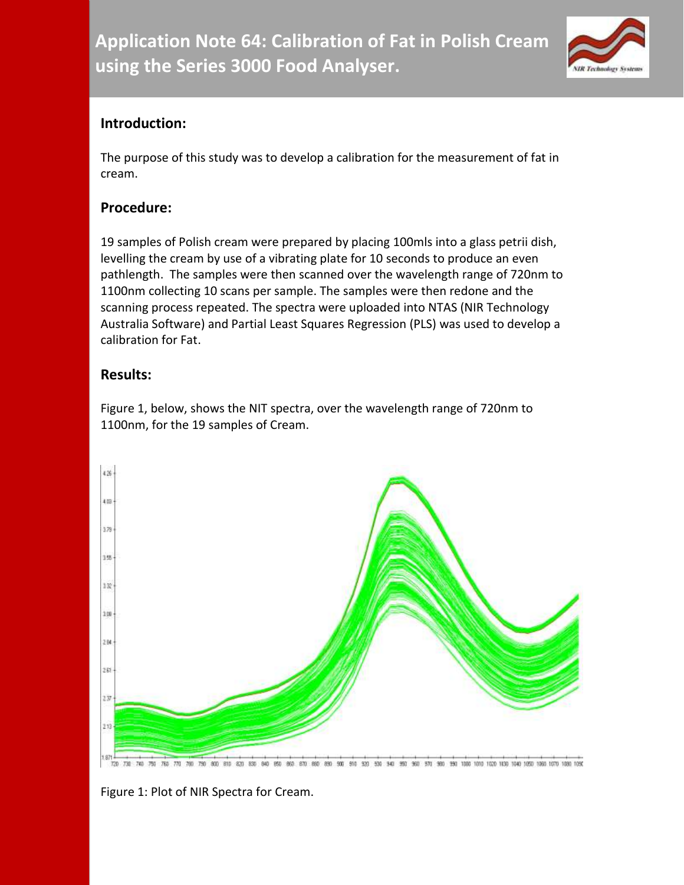

## **Introduction:**

The purpose of this study was to develop a calibration for the measurement of fat in cream.

## **Procedure:**

19 samples of Polish cream were prepared by placing 100mls into a glass petrii dish, levelling the cream by use of a vibrating plate for 10 seconds to produce an even pathlength. The samples were then scanned over the wavelength range of 720nm to 1100nm collecting 10 scans per sample. The samples were then redone and the scanning process repeated. The spectra were uploaded into NTAS (NIR Technology Australia Software) and Partial Least Squares Regression (PLS) was used to develop a calibration for Fat.

## **Results:**

Figure 1, below, shows the NIT spectra, over the wavelength range of 720nm to 1100nm, for the 19 samples of Cream.